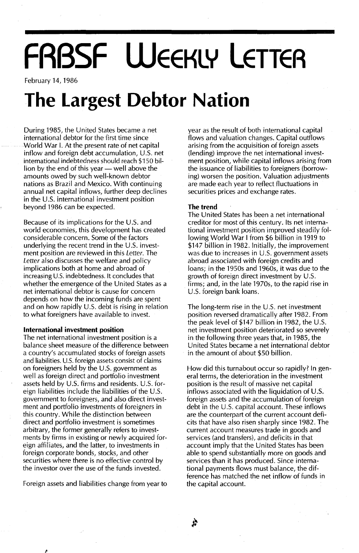# **FRBSF WEEKLY LETTER**

February 14, 1986

### **The Largest Debtor Nation**

During 1985, the United States became a net international debtor for the first time since World War I. At the present rate of net capital inflow and foreign debt accumulation, U.s. net international indebtedness should reach \$150 billion by the end of this year  $-$  well above the amounts owed by such well-known debtor nations as Brazil and Mexico. With continuing annual net capital inflows, further deep declines in the U.S. international investment position beyond 1986 can be expected.

Because of its implications for the U.S. and world economies, this development has created considerable concern. Some of the factors underlying the recent trend in the U.S. investment position are reviewed in this Letter. The Letter also discusses the welfare and policy implications both at home and abroad of increasing U.s. indebtedness. It concludes that whether the emergence of the United States as a net international debtor is cause for concern depends on how the incoming funds are spent and on how rapidly U.S. debt is rising in relation to what foreigners have available to invest.

#### **International investment position**

The net international investment position is a balance sheet measure of the difference between a country's accumulated stocks of foreign assets and liabilities. U.s. foreign assets consist of claims on foreigners held by the U.S. government as well as foreign direct and portfolio investment assets held by U.S. firms and residents. U.S. foreign liabilities include the liabilities of the U.S. government to foreigners, and also direct investment and portfolio investments of foreigners in this country. While the distinction between direct and portfolio investment is sometimes arbitrary, the former generally refers to investments by firms in existing or newly acquired foreign affiliates, and the latter, to investments in foreign corporate bonds, stocks, and other securities where there is no effective control by the investor over the use of the funds invested.

Foreign assets and liabilities change from year to

year as the result of both international capital flows and valuation changes. Capital outflows arising from the acquisition of foreign assets (lending) improve the net international investment position, while capital inflows arising from the issuance of liabilities to foreigners (borrowing) worsen the position. Valuation adjustments are made each year to reflect fluctuations in securities prices and exchange rates.

#### **The trend**

The United States has been a net international creditor for most of this century. Its net international investment position improved steadily following World War I from \$6 billion in 1919 to \$147 billion in 1982. Initially, the improvement was due to increases in U.S. government assets abroad associated with foreign credits and loans; in the 1950s and 1960s, it was due to the growth of foreign direct investment by  $U.S.$ firms; and, in the late 1970s, to the rapid rise in U.s. foreign bank loans.

The long-term rise in the U.S. net investment position reversed dramatically after 1982. From the peak level of \$147 billion in 1982, the U.S. net investment position deteriorated so severely in the following three years that, in 1985, the United States became a net international debtor in the amount of about \$50 billion.

How did this turnabout occur so rapidly? In general terms, the deterioration in the investment position is the result of massive net capital inflows associated with the liquidation of  $U.S.$ foreign assets and the accumulation of foreign debt in the U.S. capital account. These inflows are the counterpart of the current account deficits that have also risen sharply since 1982. The current account measures trade in goods and services (and transfers), and deficits in that account imply that the United States has been able to spend substantially more on goods and services than it has produced. Since international payments flows must balance, the difference has matched the net inflow of funds in the capital account.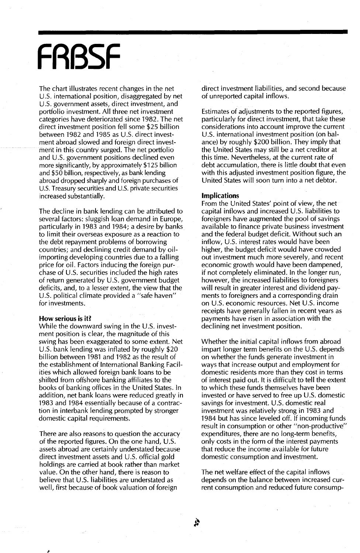## **FRBSF**

The chart illustrates recent changes in the net U.S. international position, disaggregated by net U.S. government assets, direct investment, and portfolio investment. All three net investment categories have deteriorated since 1982. The net direct investment position fell some \$25 billion between 1982 and 1985 as U.S. direct investment abroad slowed and foreign direct investment in this country surged. The net portfolio and U.S. government positions declined even more significantly, by approximately \$125 billion and \$50 billion, respectively, as bank lending abroad dropped sharply and foreign purchases of U.S. Treasury securities and U.S. private securities increased substantially.

The decline in bank lending can be attributed to several factors: sluggish loan demand in Europe, particularly in 1983 and 1984; a desire by banks to limit their overseas exposure as a reaction to the debt repayment problems of borrowing countries; and declining credit demand by oilimporting developing countries due to a falling price for oil. Factors inducing the foreign purchase of  $U.S.$  securities included the high rates of return generated by  $U.S.$  government budget deficits, and, to a lesser extent, the view that the U.S. political climate provided a "safe haven" for investments.

#### **How serious is it?**

While the downward swing in the U.S. investment position is clear, the magnitude of this swing has been exaggerated to some extent. Net U.s. bank lending was inflated by roughly \$20 billion between 1981 and 1982 as the result of the establishment of International Banking Facilities which allowed foreign bank loans to be shifted from offshore banking affiliates to the books of banking offices in the United States. In addition, net bank loans were reduced greatly in 1983 and 1984 essentially because of a contraction in interbank lending prompted by stronger domestic capital requirements.

There are also reasons to question the accuracy of the reported figures. On the one hand, U.s. assets abroad are certainly understated because direct investment assets and U.S. official gold holdings are carried at book rather than market value. On the other hand, there is reason to believe that  $U.S.$  liabilities are understated as well, first because of book valuation of foreign

direct investment liabilities, and second because of unreported capital inflows.

Estimates of adjustments to the reported figures, particularly for direct investment, that take these considerations into account improve the current U.S. international investment position (on balance) by roughly \$200 billion. They imply that the United States may still be a net creditor at this time. Nevertheless, at the current rate of debt accumulation, there is little doubt that even with this adjusted investment position figure, the United States will soon turn into a net debtor.

#### **Implications**

From the United States' point of view, the net capital inflows and increased U.S. liabilities to foreigners have augmented the pool of savings available to finance private business investment and the federal budget deficit. Without such an inflow, U.s. interest rates would have been higher, the budget deficit would have crowded out investment much more severely, and recent economic growth would have been dampened, if not completely eliminated. In the longer run, however, the increased liabilities to foreigners will result in greater interest and dividend payments to foreigners and a corresponding drain on U.s. economic resources. Net U.s. income receipts have generally fallen in recent years as payments have risen in association with the declining net investment position.

Whether the initial capital inflows from abroad impart longer term benefits on the  $U.S.$  depends on whether the funds generate investment in ways that increase output and employment for domestic residents more than they cost in terms of interest paid out. It is difficult to tell the extent to which these funds themselves have been invested or have served to free up U.S. domestic savings for investment. U.S. domestic real investment was relatively strong in 1983 and 1984 but has since leveled off. If incoming funds result in consumption or other "non-productive" expenditures, there are no long-term benefits, only costs in the form of the interest payments that reduce the income available for future domestic consumption and investment.

The net welfare effect of the capital inflows depends on the balance between increased current consumption and reduced future consump-

À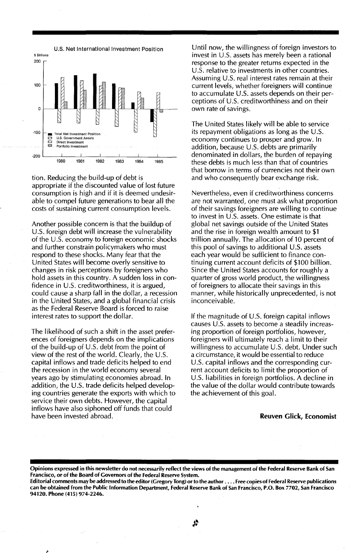

tion. Reducing the build-up of debt is appropriate if the discounted value of lost future consumption is high and if it is deemed undesirable to compel future generations to bear all the costs of sustaining current consumption levels.

Another possible concern is that the buildup of U.S. foreign debt will increase the vulnerability of the U.s. economy. to foreign economic shocks and further constrain policymakers who must respond to these shocks. Many fear that the United States will become overly sensitive to changes in risk perceptions by foreigners who hold assets in this country. A sudden loss in confidence in U.S. creditworthiness, it is argued, could cause a sharp fall in the dollar, a recession in the United States, and a global financial crisis as the Federal Reserve Board is forced to raise interest rates to support the dollar.

The likelihood of such a shift in the asset preferences of foreigners depends on the implications of the build-up of U.S. debt from the point of view of the rest of the world. Clearly, the U.S. capital inflows and trade deficits helped to end the recession in the world economy several years ago by stimulating economies abroad. In addition, the U.S. trade deficits helped developing countries generate the exports with which to service their own debts. However, the capital inflows have also siphoned off funds that could have been invested abroad.

Until now, the willingness of foreign investors to invest in U.s. assets has merely been a rational response to the greater returns expected in the U.S. relative to investments in other countries. Assuming U.S. real interest rates remain at their current levels, whether foreigners will continue to accumulate U.S. assets depends on their perceptions of U.S. creditworthiness and on their own rate of savings.

The United States likely will be able to service its repayment obligations as long as the U.S. economy continues to prosper and grow. In addition, because  $U.S.$  debts are primarily denominated in dollars, the burden of repaying these debts is much less than that of countries that borrow in terms of currencies not their own and who consequently bear exchange risk.

Nevertheless, even if creditworthiness concerns are not warranted, one must ask what proportion of their savings foreigners are willing to continue to invest in U.s. assets. One estimate is that global net savings outside of the United States and the rise in foreign wealth amount to \$1 trillion annually. The allocation of 10 percent of this pool of savings to additional U.s. assets each year would be sufficient to finance continuing current account deficits of \$100 billion. Since the United States accounts for roughly a quarter of gross world product, the willingness of foreigners to allocate their savings in this manner, while historically unprecedented, is not inconceivable.

If the magnitude of U.S. foreign capital inflows causes U.S. assets to become a steadily increasing proportion of foreign portfolios, however, foreigners will ultimately reach a limit to their willingness to accumulate U.S. debt. Under such a circumstance, it would be essential to reduce U.S. capital inflows and the corresponding current account deficits to limit the proportion of U.S. liabilities in foreign portfolios. A decline in the value of the dollar would contribute towards the achievement of this goal.

#### Reuven Glick, Economist

Opinions expressed in this newsletter do not necessarily reflect the views of the management of the Federal Reserve Bank of San Francisco, or of the Board of Governors of the Federal Reserve System.

Editorial comments may be addressed to the editor (Gregory Tong) orto the author .... Free copies of Federal Reserve publications can be obtained from the Public Information Department, Federal Reserve Bank of San Francisco, P.O. Box 7702, San Francisco 94120. Phone (415) 974·224b.